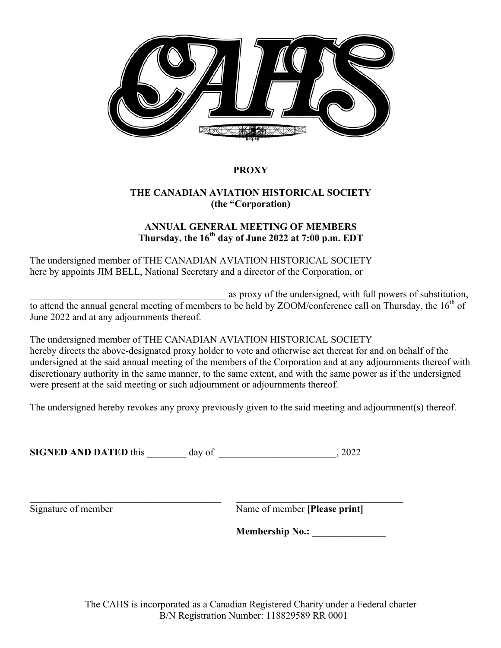

## **PROXY**

## **THE CANADIAN AVIATION HISTORICAL SOCIETY (the "Corporation)**

## **ANNUAL GENERAL MEETING OF MEMBERS Thursday, the 16th day of June 2022 at 7:00 p.m. EDT**

The undersigned member of THE CANADIAN AVIATION HISTORICAL SOCIETY here by appoints JIM BELL, National Secretary and a director of the Corporation, or

as proxy of the undersigned, with full powers of substitution, to attend the annual general meeting of members to be held by ZOOM/conference call on Thursday, the  $16<sup>th</sup>$  of June 2022 and at any adjournments thereof.

The undersigned member of THE CANADIAN AVIATION HISTORICAL SOCIETY hereby directs the above-designated proxy holder to vote and otherwise act thereat for and on behalf of the undersigned at the said annual meeting of the members of the Corporation and at any adjournments thereof with discretionary authority in the same manner, to the same extent, and with the same power as if the undersigned were present at the said meeting or such adjournment or adjournments thereof.

The undersigned hereby revokes any proxy previously given to the said meeting and adjournment(s) thereof.

**SIGNED AND DATED** this \_\_\_\_\_\_\_\_ day of \_\_\_\_\_\_\_\_\_\_\_\_\_\_\_\_\_\_\_\_\_\_\_\_, 2022

 $\_$  , and the set of the set of the set of the set of the set of the set of the set of the set of the set of the set of the set of the set of the set of the set of the set of the set of the set of the set of the set of th

Signature of member Name of member **[Please print]**

**Membership No.:** \_\_\_\_\_\_\_\_\_\_\_\_\_\_\_